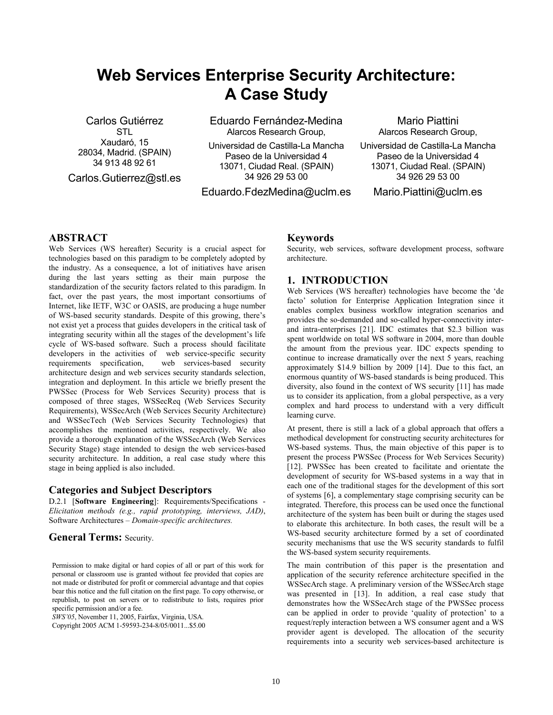# **Web Services Enterprise Security Architecture: A Case Study**

Carlos Gutiérrez STL Xaudaró, 15 28034, Madrid. (SPAIN) 34 913 48 92 61

Carlos.Gutierrez@stl.es

Eduardo Fernández-Medina Alarcos Research Group,

Universidad de Castilla-La Mancha Paseo de la Universidad 4 13071, Ciudad Real. (SPAIN) 34 926 29 53 00

Eduardo.FdezMedina@uclm.es

Mario Piattini Alarcos Research Group,

Universidad de Castilla-La Mancha Paseo de la Universidad 4 13071, Ciudad Real. (SPAIN) 34 926 29 53 00

Mario.Piattini@uclm.es

### **ABSTRACT**

Web Services (WS hereafter) Security is a crucial aspect for technologies based on this paradigm to be completely adopted by the industry. As a consequence, a lot of initiatives have arisen during the last years setting as their main purpose the standardization of the security factors related to this paradigm. In fact, over the past years, the most important consortiums of Internet, like IETF, W3C or OASIS, are producing a huge number of WS-based security standards. Despite of this growing, there's not exist yet a process that guides developers in the critical task of integrating security within all the stages of the development's life cycle of WS-based software. Such a process should facilitate developers in the activities of web service-specific security requirements specification, web services-based security architecture design and web services security standards selection, integration and deployment. In this article we briefly present the PWSSec (Process for Web Services Security) process that is composed of three stages, WSSecReq (Web Services Security Requirements), WSSecArch (Web Services Security Architecture) and WSSecTech (Web Services Security Technologies) that accomplishes the mentioned activities, respectively. We also provide a thorough explanation of the WSSecArch (Web Services Security Stage) stage intended to design the web services-based security architecture. In addition, a real case study where this stage in being applied is also included.

### **Categories and Subject Descriptors**

D.2.1 [**Software Engineering**]: Requirements/Specifications - *Elicitation methods (e.g., rapid prototyping, interviews, JAD)*, Software Architectures – *Domain-specific architectures.*

### **General Terms:** Security.

Permission to make digital or hard copies of all or part of this work for personal or classroom use is granted without fee provided that copies are not made or distributed for profit or commercial advantage and that copies bear this notice and the full citation on the first page. To copy otherwise, or republish, to post on servers or to redistribute to lists, requires prior specific permission and/or a fee.

*SWS'05*, November 11, 2005, Fairfax, Virginia, USA.

Copyright 2005 ACM 1-59593-234-8/05/0011...\$5.00

### **Keywords**

Security, web services, software development process, software architecture.

## **1. INTRODUCTION**

Web Services (WS hereafter) technologies have become the 'de facto' solution for Enterprise Application Integration since it enables complex business workflow integration scenarios and provides the so-demanded and so-called hyper-connectivity interand intra-enterprises [21]. IDC estimates that \$2.3 billion was spent worldwide on total WS software in 2004, more than double the amount from the previous year. IDC expects spending to continue to increase dramatically over the next 5 years, reaching approximately \$14.9 billion by 2009 [14]. Due to this fact, an enormous quantity of WS-based standards is being produced. This diversity, also found in the context of WS security [11] has made us to consider its application, from a global perspective, as a very complex and hard process to understand with a very difficult learning curve.

At present, there is still a lack of a global approach that offers a methodical development for constructing security architectures for WS-based systems. Thus, the main objective of this paper is to present the process PWSSec (Process for Web Services Security) [12]. PWSSec has been created to facilitate and orientate the development of security for WS-based systems in a way that in each one of the traditional stages for the development of this sort of systems [6], a complementary stage comprising security can be integrated. Therefore, this process can be used once the functional architecture of the system has been built or during the stages used to elaborate this architecture. In both cases, the result will be a WS-based security architecture formed by a set of coordinated security mechanisms that use the WS security standards to fulfil the WS-based system security requirements.

The main contribution of this paper is the presentation and application of the security reference architecture specified in the WSSecArch stage. A preliminary version of the WSSecArch stage was presented in [13]. In addition, a real case study that demonstrates how the WSSecArch stage of the PWSSec process can be applied in order to provide 'quality of protection' to a request/reply interaction between a WS consumer agent and a WS provider agent is developed. The allocation of the security requirements into a security web services-based architecture is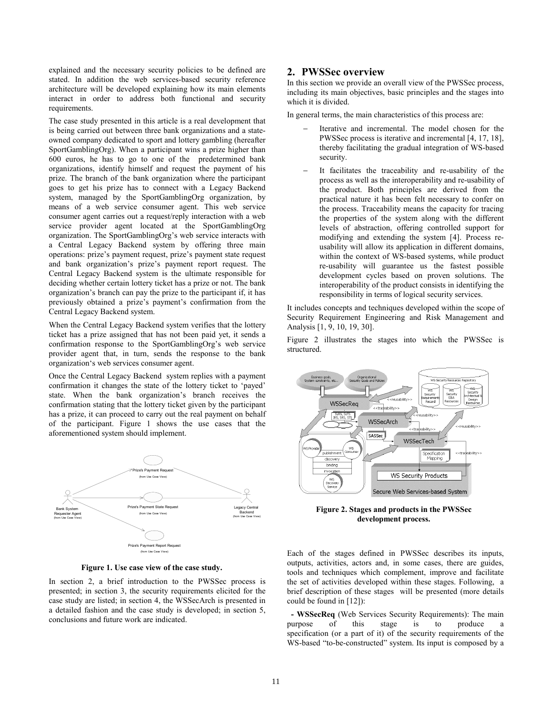explained and the necessary security policies to be defined are stated. In addition the web services-based security reference architecture will be developed explaining how its main elements interact in order to address both functional and security requirements.

The case study presented in this article is a real development that is being carried out between three bank organizations and a stateowned company dedicated to sport and lottery gambling (hereafter SportGamblingOrg). When a participant wins a prize higher than 600 euros, he has to go to one of the predetermined bank organizations, identify himself and request the payment of his prize. The branch of the bank organization where the participant goes to get his prize has to connect with a Legacy Backend system, managed by the SportGamblingOrg organization, by means of a web service consumer agent. This web service consumer agent carries out a request/reply interaction with a web service provider agent located at the SportGamblingOrg organization. The SportGamblingOrg's web service interacts with a Central Legacy Backend system by offering three main operations: prize's payment request, prize's payment state request and bank organization's prize's payment report request. The Central Legacy Backend system is the ultimate responsible for deciding whether certain lottery ticket has a prize or not. The bank organization's branch can pay the prize to the participant if, it has previously obtained a prize's payment's confirmation from the Central Legacy Backend system.

When the Central Legacy Backend system verifies that the lottery ticket has a prize assigned that has not been paid yet, it sends a confirmation response to the SportGamblingOrg's web service provider agent that, in turn, sends the response to the bank organization's web services consumer agent.

Once the Central Legacy Backend system replies with a payment confirmation it changes the state of the lottery ticket to 'payed' state. When the bank organization's branch receives the confirmation stating that the lottery ticket given by the participant has a prize, it can proceed to carry out the real payment on behalf of the participant. Figure 1 shows the use cases that the aforementioned system should implement.



**Figure 1. Use case view of the case study.**

In section 2, a brief introduction to the PWSSec process is presented; in section 3, the security requirements elicited for the case study are listed; in section 4, the WSSecArch is presented in a detailed fashion and the case study is developed; in section 5, conclusions and future work are indicated.

### **2. PWSSec overview**

In this section we provide an overall view of the PWSSec process, including its main objectives, basic principles and the stages into which it is divided.

In general terms, the main characteristics of this process are:

- Iterative and incremental. The model chosen for the PWSSec process is iterative and incremental [4, 17, 18], thereby facilitating the gradual integration of WS-based security.
- It facilitates the traceability and re-usability of the process as well as the interoperability and re-usability of the product. Both principles are derived from the practical nature it has been felt necessary to confer on the process. Traceability means the capacity for tracing the properties of the system along with the different levels of abstraction, offering controlled support for modifying and extending the system [4]. Process reusability will allow its application in different domains, within the context of WS-based systems, while product re-usability will guarantee us the fastest possible development cycles based on proven solutions. The interoperability of the product consists in identifying the responsibility in terms of logical security services.

It includes concepts and techniques developed within the scope of Security Requirement Engineering and Risk Management and Analysis [1, 9, 10, 19, 30].

Figure 2 illustrates the stages into which the PWSSec is structured.



**Figure 2. Stages and products in the PWSSec development process.** 

Each of the stages defined in PWSSec describes its inputs, outputs, activities, actors and, in some cases, there are guides, tools and techniques which complement, improve and facilitate the set of activities developed within these stages. Following, a brief description of these stages will be presented (more details could be found in [12]):

 **- WSSecReq** (Web Services Security Requirements): The main purpose of this stage is to produce a specification (or a part of it) of the security requirements of the WS-based "to-be-constructed" system. Its input is composed by a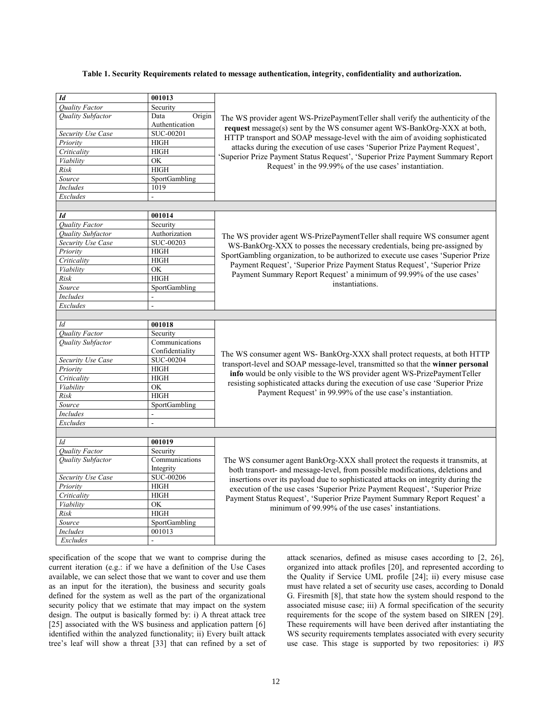#### **Table 1. Security Requirements related to message authentication, integrity, confidentiality and authorization.**

| Id                          | 001013                          |                                                                                                                                                          |  |  |
|-----------------------------|---------------------------------|----------------------------------------------------------------------------------------------------------------------------------------------------------|--|--|
| Quality Factor              | Security                        | The WS provider agent WS-PrizePaymentTeller shall verify the authenticity of the                                                                         |  |  |
| <b>Quality Subfactor</b>    | Data<br>Origin                  |                                                                                                                                                          |  |  |
|                             | Authentication                  | request message(s) sent by the WS consumer agent WS-BankOrg-XXX at both,<br>HTTP transport and SOAP message-level with the aim of avoiding sophisticated |  |  |
| Security Use Case           | SUC-00201                       |                                                                                                                                                          |  |  |
| Priority                    | ${\rm HIGH}$                    | attacks during the execution of use cases 'Superior Prize Payment Request',                                                                              |  |  |
| Criticality                 | <b>HIGH</b>                     |                                                                                                                                                          |  |  |
| Viability                   | OK                              | 'Superior Prize Payment Status Request', 'Superior Prize Payment Summary Report                                                                          |  |  |
| Risk                        | <b>HIGH</b>                     | Request' in the 99.99% of the use cases' instantiation.                                                                                                  |  |  |
| Source                      | SportGambling                   |                                                                                                                                                          |  |  |
| <b>Includes</b>             | 1019                            |                                                                                                                                                          |  |  |
| Excludes                    | ÷.                              |                                                                                                                                                          |  |  |
|                             |                                 |                                                                                                                                                          |  |  |
| Id                          | 001014                          |                                                                                                                                                          |  |  |
| <b>Ouality Factor</b>       | Security                        |                                                                                                                                                          |  |  |
| Quality Subfactor           | Authorization                   |                                                                                                                                                          |  |  |
| Security Use Case           | SUC-00203                       | The WS provider agent WS-PrizePaymentTeller shall require WS consumer agent                                                                              |  |  |
| Priority                    | $HIGH$                          | WS-BankOrg-XXX to posses the necessary credentials, being pre-assigned by                                                                                |  |  |
| Criticality                 | HIGH                            | SportGambling organization, to be authorized to execute use cases 'Superior Prize                                                                        |  |  |
| Viability                   | OK                              | Payment Request', 'Superior Prize Payment Status Request', 'Superior Prize                                                                               |  |  |
| Risk                        | HIGH                            | Payment Summary Report Request' a minimum of 99.99% of the use cases'                                                                                    |  |  |
| Source                      | SportGambling                   | instantiations.                                                                                                                                          |  |  |
| <b>Includes</b>             | $\blacksquare$                  |                                                                                                                                                          |  |  |
| Excludes                    | L.                              |                                                                                                                                                          |  |  |
|                             |                                 |                                                                                                                                                          |  |  |
| Id                          | 001018                          |                                                                                                                                                          |  |  |
| Quality Factor              | Security                        |                                                                                                                                                          |  |  |
| Quality Subfactor           | Communications                  |                                                                                                                                                          |  |  |
|                             |                                 |                                                                                                                                                          |  |  |
|                             |                                 |                                                                                                                                                          |  |  |
|                             | Confidentiality                 | The WS consumer agent WS- BankOrg-XXX shall protect requests, at both HTTP                                                                               |  |  |
| Security Use Case           | <b>SUC-00204</b><br><b>HIGH</b> | transport-level and SOAP message-level, transmitted so that the winner personal                                                                          |  |  |
| Priority                    |                                 | info would be only visible to the WS provider agent WS-PrizePaymentTeller                                                                                |  |  |
| Criticality                 | <b>HIGH</b><br>OK               | resisting sophisticated attacks during the execution of use case 'Superior Prize                                                                         |  |  |
| Viability                   |                                 | Payment Request' in 99.99% of the use case's instantiation.                                                                                              |  |  |
| Risk                        | <b>HIGH</b>                     |                                                                                                                                                          |  |  |
| Source<br><b>Includes</b>   | SportGambling<br>$\overline{a}$ |                                                                                                                                                          |  |  |
|                             |                                 |                                                                                                                                                          |  |  |
| Excludes                    |                                 |                                                                                                                                                          |  |  |
|                             |                                 |                                                                                                                                                          |  |  |
| Id                          | 001019                          |                                                                                                                                                          |  |  |
| <b>Ouality Factor</b>       | Security                        |                                                                                                                                                          |  |  |
| <b>Quality Subfactor</b>    | Communications                  | The WS consumer agent BankOrg-XXX shall protect the requests it transmits, at                                                                            |  |  |
|                             | Integrity                       | both transport- and message-level, from possible modifications, deletions and                                                                            |  |  |
| <b>Security Use Case</b>    | <b>SUC-00206</b>                | insertions over its payload due to sophisticated attacks on integrity during the                                                                         |  |  |
| Priority                    | HIGH                            | execution of the use cases 'Superior Prize Payment Request', 'Superior Prize                                                                             |  |  |
| Criticality                 | <b>HIGH</b>                     | Payment Status Request', 'Superior Prize Payment Summary Report Request' a                                                                               |  |  |
| Viability                   | OK                              | minimum of 99.99% of the use cases' instantiations.                                                                                                      |  |  |
| Risk                        | <b>HIGH</b>                     |                                                                                                                                                          |  |  |
| Source                      | SportGambling                   |                                                                                                                                                          |  |  |
| <b>Includes</b><br>Excludes | 001013<br>$\blacksquare$        |                                                                                                                                                          |  |  |

specification of the scope that we want to comprise during the current iteration (e.g.: if we have a definition of the Use Cases available, we can select those that we want to cover and use them as an input for the iteration), the business and security goals defined for the system as well as the part of the organizational security policy that we estimate that may impact on the system design. The output is basically formed by: i) A threat attack tree [25] associated with the WS business and application pattern [6] identified within the analyzed functionality; ii) Every built attack tree's leaf will show a threat [33] that can refined by a set of attack scenarios, defined as misuse cases according to [2, 26], organized into attack profiles [20], and represented according to the Quality if Service UML profile [24]; ii) every misuse case must have related a set of security use cases, according to Donald G. Firesmith [8], that state how the system should respond to the associated misuse case; iii) A formal specification of the security requirements for the scope of the system based on SIREN [29]. These requirements will have been derived after instantiating the WS security requirements templates associated with every security use case. This stage is supported by two repositories: i) *WS*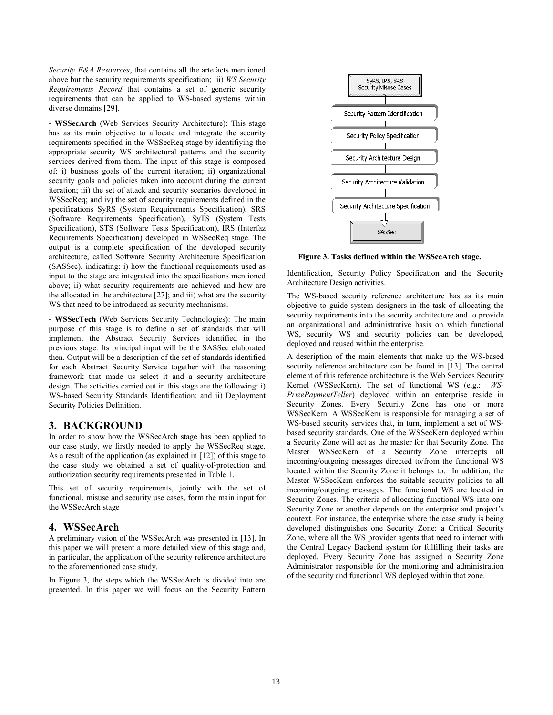*Security E&A Resources*, that contains all the artefacts mentioned above but the security requirements specification; ii) *WS Security Requirements Record* that contains a set of generic security requirements that can be applied to WS-based systems within diverse domains [29].

**- WSSecArch** (Web Services Security Architecture): This stage has as its main objective to allocate and integrate the security requirements specified in the WSSecReq stage by identifiying the appropriate security WS architectural patterns and the security services derived from them. The input of this stage is composed of: i) business goals of the current iteration; ii) organizational security goals and policies taken into account during the current iteration; iii) the set of attack and security scenarios developed in WSSecReq; and iv) the set of security requirements defined in the specifications SyRS (System Requirements Specification), SRS (Software Requirements Specification), SyTS (System Tests Specification), STS (Software Tests Specification), IRS (Interfaz Requirements Specification) developed in WSSecReq stage. The output is a complete specification of the developed security architecture, called Software Security Architecture Specification (SASSec), indicating: i) how the functional requirements used as input to the stage are integrated into the specifications mentioned above; ii) what security requirements are achieved and how are the allocated in the architecture [27]; and iii) what are the security WS that need to be introduced as security mechanisms.

**- WSSecTech** (Web Services Security Technologies): The main purpose of this stage is to define a set of standards that will implement the Abstract Security Services identified in the previous stage. Its principal input will be the SASSec elaborated then. Output will be a description of the set of standards identified for each Abstract Security Service together with the reasoning framework that made us select it and a security architecture design. The activities carried out in this stage are the following: i) WS-based Security Standards Identification; and ii) Deployment Security Policies Definition.

### **3. BACKGROUND**

In order to show how the WSSecArch stage has been applied to our case study, we firstly needed to apply the WSSecReq stage. As a result of the application (as explained in [12]) of this stage to the case study we obtained a set of quality-of-protection and authorization security requirements presented in Table 1.

This set of security requirements, jointly with the set of functional, misuse and security use cases, form the main input for the WSSecArch stage

### **4. WSSecArch**

A preliminary vision of the WSSecArch was presented in [13]. In this paper we will present a more detailed view of this stage and, in particular, the application of the security reference architecture to the aforementioned case study.

In Figure 3, the steps which the WSSecArch is divided into are presented. In this paper we will focus on the Security Pattern



**Figure 3. Tasks defined within the WSSecArch stage.** 

Identification, Security Policy Specification and the Security Architecture Design activities.

The WS-based security reference architecture has as its main objective to guide system designers in the task of allocating the security requirements into the security architecture and to provide an organizational and administrative basis on which functional WS, security WS and security policies can be developed, deployed and reused within the enterprise.

A description of the main elements that make up the WS-based security reference architecture can be found in [13]. The central element of this reference architecture is the Web Services Security Kernel (WSSecKern). The set of functional WS (e.g.: *WS-PrizePaymentTeller*) deployed within an enterprise reside in Security Zones. Every Security Zone has one or more WSSecKern. A WSSecKern is responsible for managing a set of WS-based security services that, in turn, implement a set of WSbased security standards. One of the WSSecKern deployed within a Security Zone will act as the master for that Security Zone. The Master WSSecKern of a Security Zone intercepts all incoming/outgoing messages directed to/from the functional WS located within the Security Zone it belongs to. In addition, the Master WSSecKern enforces the suitable security policies to all incoming/outgoing messages. The functional WS are located in Security Zones. The criteria of allocating functional WS into one Security Zone or another depends on the enterprise and project's context. For instance, the enterprise where the case study is being developed distinguishes one Security Zone: a Critical Security Zone, where all the WS provider agents that need to interact with the Central Legacy Backend system for fulfilling their tasks are deployed. Every Security Zone has assigned a Security Zone Administrator responsible for the monitoring and administration of the security and functional WS deployed within that zone.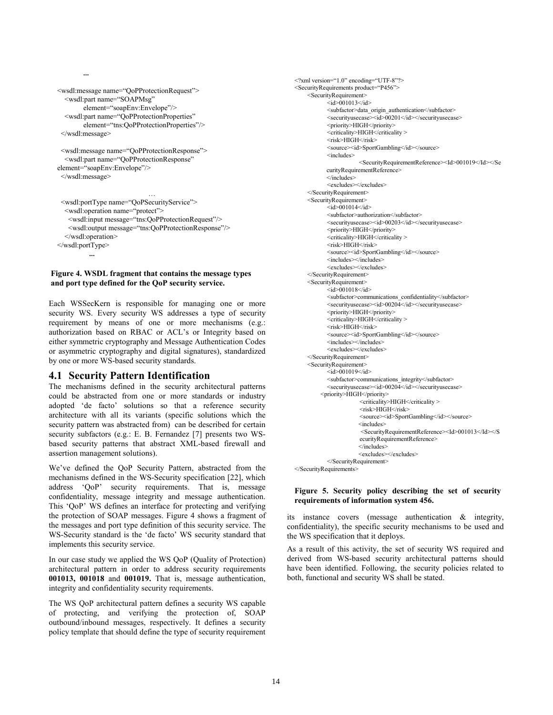…

```
<wsdl:message name="QoPProtectionRequest"> 
   <wsdl:part name="SOAPMsg" 
         element="soapEnv:Envelope"/> 
   <wsdl:part name="QoPProtectionProperties" 
         element="tns:QoPProtectionProperties"/> 
  </wsdl:message> 
  <wsdl:message name="QoPProtectionResponse">
```
 <wsdl:part name="QoPProtectionResponse" element="soapEnv:Envelope"/> </wsdl:message>

```
and the contract of the contract of the
  <wsdl:portType name="QoPSecurityService"> 
   <wsdl:operation name="protect"> 
    <wsdl:input message="tns:QoPProtectionRequest"/> 
    <wsdl:output message="tns:QoPProtectionResponse"/> 
   </wsdl:operation> 
</wsdl:portType> 
          …
```
#### **Figure 4. WSDL fragment that contains the message types and port type defined for the QoP security service.**

Each WSSecKern is responsible for managing one or more security WS. Every security WS addresses a type of security requirement by means of one or more mechanisms (e.g.: authorization based on RBAC or ACL's or Integrity based on either symmetric cryptography and Message Authentication Codes or asymmetric cryptography and digital signatures), standardized by one or more WS-based security standards.

## **4.1 Security Pattern Identification**

The mechanisms defined in the security architectural patterns could be abstracted from one or more standards or industry adopted 'de facto' solutions so that a reference security architecture with all its variants (specific solutions which the security pattern was abstracted from) can be described for certain security subfactors (e.g.: E. B. Fernandez [7] presents two WSbased security patterns that abstract XML-based firewall and assertion management solutions).

We've defined the QoP Security Pattern, abstracted from the mechanisms defined in the WS-Security specification [22], which address 'QoP' security requirements. That is, message confidentiality, message integrity and message authentication. This 'QoP' WS defines an interface for protecting and verifying the protection of SOAP messages. Figure 4 shows a fragment of the messages and port type definition of this security service. The WS-Security standard is the 'de facto' WS security standard that implements this security service.

In our case study we applied the WS QoP (Quality of Protection) architectural pattern in order to address security requirements **001013, 001018** and **001019.** That is, message authentication, integrity and confidentiality security requirements.

The WS QoP architectural pattern defines a security WS capable of protecting, and verifying the protection of, SOAP outbound/inbound messages, respectively. It defines a security policy template that should define the type of security requirement

```
<?xml version="1.0" encoding="UTF-8"?> 
<SecurityRequirements product="P456"> 
     <SecurityRequirement> 
            \leqid> 001013 \leq /id <subfactor>data_origin_authentication</subfactor> 
            <securityusecase><id>00201</id></securityusecase>
             <priority>HIGH</priority> 
             <criticality>HIGH</criticality > 
            <risk>HIGH</risk>
             <source><id>SportGambling</id></source> 
             <includes> 
                         <SecurityRequirementReference><Id>001019</Id></Se
            curityRequirementReference> 
            \langle/includes>
             <excludes></excludes> 
    </SecurityRequirement> 
     <SecurityRequirement> 
            \leqid>001014\leq/id> <subfactor>authorization</subfactor> 
            <securityusecase><id>00203</id></securityusecase>
             <priority>HIGH</priority> 
             <criticality>HIGH</criticality > 
            <risk>HIGH</risk>
             <source><id>SportGambling</id></source> 
             <includes></includes> 
             <excludes></excludes> 
    </SecurityRequirement> 
     <SecurityRequirement> 
             <id>001018</id> 
             <subfactor>communications_confidentiality</subfactor> 
            <securityusecase><id>00204</id></securityusecase>
             <priority>HIGH</priority> 
             <criticality>HIGH</criticality > 
             <risk>HIGH</risk> 
             <source><id>SportGambling</id></source> 
             <includes></includes> 
             <excludes></excludes> 
    </SecurityRequirement> 
    <SecurityRequirement> 
            \leqid>001019\leq/id> <subfactor>communications_integrity</subfactor>
             <securityusecase><id>00204</id></securityusecase> 
           <priority>HIGH</priority> 
                          <criticality>HIGH</criticality > 
                         <risk>HIGH</risk>
                          <source><id>SportGambling</id></source> 
                         <includes> 
                         <SecurityRequirementReference><Id>001013</Id></S
                         ecurityRequirementReference> 
                        </includes> 
                         <excludes></excludes> 
             </SecurityRequirement>
```

```
</SecurityRequirements>
```
#### **Figure 5. Security policy describing the set of security requirements of information system 456.**

its instance covers (message authentication & integrity, confidentiality), the specific security mechanisms to be used and the WS specification that it deploys.

As a result of this activity, the set of security WS required and derived from WS-based security architectural patterns should have been identified. Following, the security policies related to both, functional and security WS shall be stated.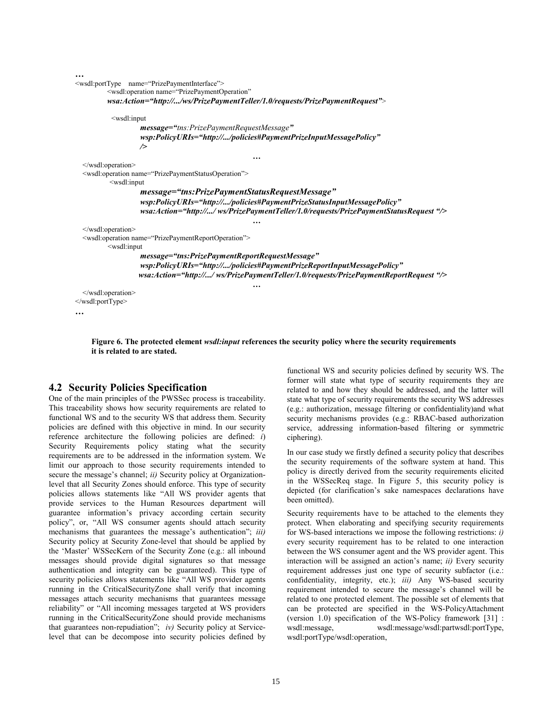```
… 
<wsdl:portType name="PrizePaymentInterface"> 
        <wsdl:operation name="PrizePaymentOperation" 
        wsa:Action="http://.../ws/PrizePaymentTeller/1.0/requests/PrizePaymentRequest"> 
          <wsdl:input 
                 message="tns:PrizePaymentRequestMessage" 
                 wsp:PolicyURIs="http://.../policies#PaymentPrizeInputMessagePolicy" 
 /> 
 … 
  </wsdl:operation> 
  <wsdl:operation name="PrizePaymentStatusOperation"> 
         <wsdl:input 
                 message="tns:PrizePaymentStatusRequestMessage" 
                 wsp:PolicyURIs="http://.../policies#PaymentPrizeStatusInputMessagePolicy" 
                 wsa:Action="http://.../ ws/PrizePaymentTeller/1.0/requests/PrizePaymentStatusRequest "/> 
 … 
  </wsdl:operation> 
  <wsdl:operation name="PrizePaymentReportOperation"> 
         <wsdl:input 
                 message="tns:PrizePaymentReportRequestMessage" 
                 wsp:PolicyURIs="http://.../policies#PaymentPrizeReportInputMessagePolicy" 
                 wsa:Action="http://.../ ws/PrizePaymentTeller/1.0/requests/PrizePaymentReportRequest "/> 
 … 
  </wsdl:operation> 
</wsdl:portType> 
…
```
**Figure 6. The protected element** *wsdl:input* **references the security policy where the security requirements it is related to are stated.**

### **4.2 Security Policies Specification**

One of the main principles of the PWSSec process is traceability. This traceability shows how security requirements are related to functional WS and to the security WS that address them. Security policies are defined with this objective in mind. In our security reference architecture the following policies are defined: *i*) Security Requirements policy stating what the security requirements are to be addressed in the information system. We limit our approach to those security requirements intended to secure the message's channel; *ii*) Security policy at Organizationlevel that all Security Zones should enforce. This type of security policies allows statements like "All WS provider agents that provide services to the Human Resources department will guarantee information's privacy according certain security policy", or, "All WS consumer agents should attach security mechanisms that guarantees the message's authentication"; *iii)*  Security policy at Security Zone-level that should be applied by the 'Master' WSSecKern of the Security Zone (e.g.: all inbound messages should provide digital signatures so that message authentication and integrity can be guaranteed). This type of security policies allows statements like "All WS provider agents" running in the CriticalSecurityZone shall verify that incoming messages attach security mechanisms that guarantees message reliability" or "All incoming messages targeted at WS providers running in the CriticalSecurityZone should provide mechanisms that guarantees non-repudiation"; *iv)* Security policy at Servicelevel that can be decompose into security policies defined by

functional WS and security policies defined by security WS. The former will state what type of security requirements they are related to and how they should be addressed, and the latter will state what type of security requirements the security WS addresses (e.g.: authorization, message filtering or confidentiality)and what security mechanisms provides (e.g.: RBAC-based authorization service, addressing information-based filtering or symmetric ciphering).

In our case study we firstly defined a security policy that describes the security requirements of the software system at hand. This policy is directly derived from the security requirements elicited in the WSSecReq stage. In Figure 5, this security policy is depicted (for clarification's sake namespaces declarations have been omitted).

Security requirements have to be attached to the elements they protect. When elaborating and specifying security requirements for WS-based interactions we impose the following restrictions: *i)* every security requirement has to be related to one interaction between the WS consumer agent and the WS provider agent. This interaction will be assigned an action's name; *ii)* Every security requirement addresses just one type of security subfactor (i.e.: confidentiality, integrity, etc.); *iii)* Any WS-based security requirement intended to secure the message's channel will be related to one protected element. The possible set of elements that can be protected are specified in the WS-PolicyAttachment (version 1.0) specification of the WS-Policy framework [31] : wsdl:message, wsdl:message/wsdl:partwsdl:portType, wsdl:portType/wsdl:operation,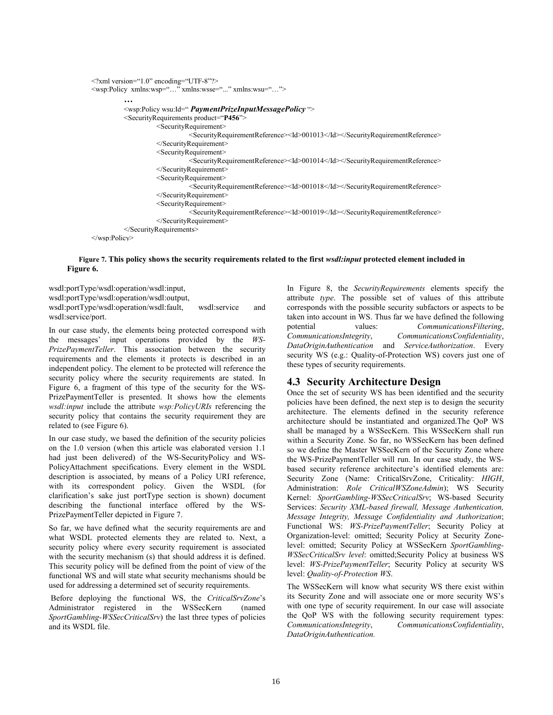```
<?xml version="1.0" encoding="UTF-8"?> 
<wsp:Policy xmlns:wsp="…" xmlns:wsse="..." xmlns:wsu="…"> 
          … 
           <wsp:Policy wsu:Id=" PaymentPrizeInputMessagePolicy "> 
           <SecurityRequirements product="P456"> 
                     <SecurityRequirement> 
                                <SecurityRequirementReference><Id>001013</Id></SecurityRequirementReference> 
                     </SecurityRequirement> 
                     <SecurityRequirement> 
                               <SecurityRequirementReference><Id>001014</Id></SecurityRequirementReference> 
                     </SecurityRequirement> 
                     <SecurityRequirement> 
                                <SecurityRequirementReference><Id>001018</Id></SecurityRequirementReference> 
                     </SecurityRequirement> 
                     <SecurityRequirement> 
                                <SecurityRequirementReference><Id>001019</Id></SecurityRequirementReference> 
                     </SecurityRequirement> 
           </SecurityRequirements> 
</wsp:Policy>
```
#### **Figure 7. This policy shows the security requirements related to the first** *wsdl:input* **protected element included in Figure 6.**

wsdl:portType/wsdl:operation/wsdl:input, wsdl:portType/wsdl:operation/wsdl:output, wsdl:portType/wsdl:operation/wsdl:fault, wsdl:service and wsdl:service/port.

In our case study, the elements being protected correspond with the messages' input operations provided by the *WS-PrizePaymentTeller*. This association between the security requirements and the elements it protects is described in an independent policy. The element to be protected will reference the security policy where the security requirements are stated. In Figure 6, a fragment of this type of the security for the WS-PrizePaymentTeller is presented. It shows how the elements *wsdl:input* include the attribute *wsp:PolicyURIs* referencing the security policy that contains the security requirement they are related to (see Figure 6).

In our case study, we based the definition of the security policies on the 1.0 version (when this article was elaborated version 1.1 had just been delivered) of the WS-SecurityPolicy and WS-PolicyAttachment specifications. Every element in the WSDL description is associated, by means of a Policy URI reference, with its correspondent policy. Given the WSDL (for clarification's sake just portType section is shown) document describing the functional interface offered by the WS-PrizePaymentTeller depicted in Figure 7.

So far, we have defined what the security requirements are and what WSDL protected elements they are related to. Next, a security policy where every security requirement is associated with the security mechanism (s) that should address it is defined. This security policy will be defined from the point of view of the functional WS and will state what security mechanisms should be used for addressing a determined set of security requirements.

 Before deploying the functional WS, the *CriticalSrvZone*'s Administrator registered in the WSSecKern (named *SportGambling-WSSecCriticalSrv*) the last three types of policies and its WSDL file.

In Figure 8, the *SecurityRequirements* elements specify the attribute *type*. The possible set of values of this attribute corresponds with the possible security subfactors or aspects to be taken into account in WS. Thus far we have defined the following potential values: *CommunicationsFiltering*, *CommunicationsIntegrity*, *CommunicationsConfidentiality*, *DataOriginAuthentication* and *ServiceAuthorization*. Every security WS (e.g.: Quality-of-Protection WS) covers just one of these types of security requirements.

# **4.3 Security Architecture Design**

Once the set of security WS has been identified and the security policies have been defined, the next step is to design the security architecture. The elements defined in the security reference architecture should be instantiated and organized.The QoP WS shall be managed by a WSSecKern. This WSSecKern shall run within a Security Zone. So far, no WSSecKern has been defined so we define the Master WSSecKern of the Security Zone where the WS-PrizePaymentTeller will run. In our case study, the WSbased security reference architecture's identified elements are: Security Zone (Name: CriticalSrvZone, Criticality: *HIGH*, Administration: *Role CriticalWSZoneAdmin*); WS Security Kernel: *SportGambling-WSSecCriticalSrv*; WS-based Security Services: *Security XML-based firewall, Message Authentication, Message Integrity, Message Confidentiality and Authorization*; Functional WS: *WS-PrizePaymentTeller*; Security Policy at Organization-level: omitted; Security Policy at Security Zonelevel: omitted; Security Policy at WSSecKern *SportGambling-WSSecCriticalSrv level*: omitted;Security Policy at business WS level: *WS-PrizePaymentTeller*; Security Policy at security WS level: *Quality-of-Protection WS*.

The WSSecKern will know what security WS there exist within its Security Zone and will associate one or more security WS's with one type of security requirement. In our case will associate the QoP WS with the following security requirement types: *CommunicationsIntegrity*, *CommunicationsConfidentiality*, *DataOriginAuthentication.*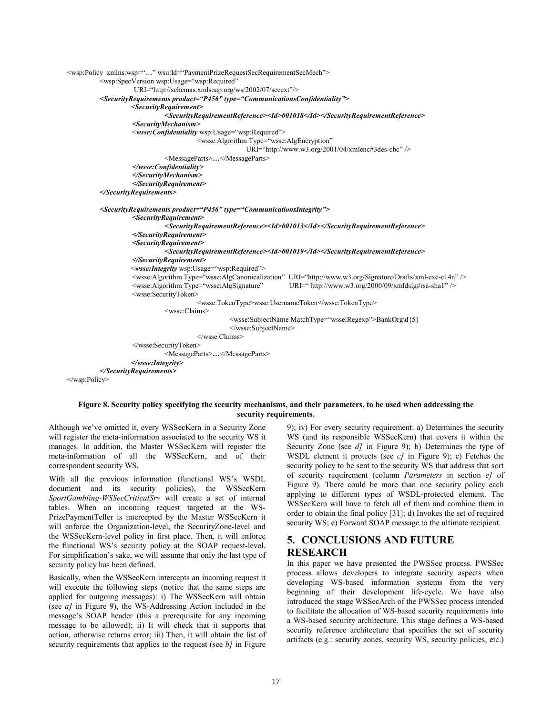```
<wsp:Policy xmlns:wsp="…" wsu:Id="PaymentPrizeRequestSecRequirementSecMech"> 
           <wsp:SpecVersion wsp:Usage="wsp:Required" 
                      URI="http://schemas.xmlsoap.org/ws/2002/07/secext"/> 
          <SecurityRequirements product="P456" type="CommunicationsConfidentiality"> 
                    <SecurityRequirement> 
                               <SecurityRequirementReference><Id>001018</Id></SecurityRequirementReference> 
                     <SecurityMechanism> 
                     <wsse:Confidentiality wsp:Usage="wsp:Required"> 
                                          <wsse:Algorithm Type="wsse:AlgEncryption" 
                                                         URI="http://www.w3.org/2001/04/xmlenc#3des-cbc" /> 
                               <MessageParts>…</MessageParts> 
                     </wsse:Confidentiality> 
                     </SecurityMechanism> 
                     </SecurityRequirement> 
           </SecurityRequirements> 
          <SecurityRequirements product="P456" type="CommunicationsIntegrity">
                     <SecurityRequirement> 
                                <SecurityRequirementReference><Id>001013</Id></SecurityRequirementReference> 
                     </SecurityRequirement> 
                     <SecurityRequirement> 
                               <SecurityRequirementReference><Id>001019</Id></SecurityRequirementReference> 
                     </SecurityRequirement>
                    <wsse:Integrity wsp:Usage="wsp:Required"> 
                     <wsse:Algorithm Type="wsse:AlgCanonicalization" URI="http://www.w3.org/Signature/Drafts/xml-exc-c14n" /> 
                                                                     URI=" http://www.w3.org/2000/09/xmldsig#rsa-sha1" />
                     <wsse:SecurityToken> 
                                          <wsse:TokenType>wsse:UsernameToken</wsse:TokenType> 
                               <wsse:Claims> 
                                                    <wsse:SubjectName MatchType="wsse:Regexp">BankOrg\d{5} 
                                                    </wsse:SubjectName> 
                                          </wsse:Claims> 
                     </wsse:SecurityToken> 
                               <MessageParts>…</MessageParts> 
                    </wsse:Integrity> 
           </SecurityRequirements> 
</wsp:Policy>
```
#### **Figure 8. Security policy specifying the security mechanisms, and their parameters, to be used when addressing the security requirements.**

Although we've omitted it, every WSSecKern in a Security Zone will register the meta-information associated to the security WS it manages. In addition, the Master WSSecKern will register the meta-information of all the WSSecKern, and of their correspondent security WS.

With all the previous information (functional WS's WSDL document and its security policies), the WSSecKern *SportGambling-WSSecCriticalSrv* will create a set of internal tables. When an incoming request targeted at the WS-PrizePaymentTeller is intercepted by the Master WSSecKern it will enforce the Organization-level, the SecurityZone-level and the WSSecKern-level policy in first place. Then, it will enforce the functional WS's security policy at the SOAP request-level. For simplification's sake, we will assume that only the last type of security policy has been defined.

Basically, when the WSSecKern intercepts an incoming request it will execute the following steps (notice that the same steps are applied for outgoing messages): i) The WSSecKern will obtain (see *a]* in Figure 9), the WS-Addressing Action included in the message's SOAP header (this a prerequisite for any incoming message to be allowed); ii) It will check that it supports that action, otherwise returns error; iii) Then, it will obtain the list of security requirements that applies to the request (see *b*) in Figure

9); iv) For every security requirement: a) Determines the security WS (and its responsible WSSecKern) that covers it within the Security Zone (see *d]* in Figure 9); b) Determines the type of WSDL element it protects (see *c]* in Figure 9); c) Fetches the security policy to be sent to the security WS that address that sort of security requirement (column *Parameters* in section *e]* of Figure 9). There could be more than one security policy each applying to different types of WSDL-protected element. The WSSecKern will have to fetch all of them and combine them in order to obtain the final policy [31]; d) Invokes the set of required security WS; e) Forward SOAP message to the ultimate recipient.

# **5. CONCLUSIONS AND FUTURE RESEARCH**

In this paper we have presented the PWSSec process. PWSSec process allows developers to integrate security aspects when developing WS-based information systems from the very beginning of their development life-cycle. We have also introduced the stage WSSecArch of the PWSSec process intended to facilitate the allocation of WS-based security requirements into a WS-based security architecture. This stage defines a WS-based security reference architecture that specifies the set of security artifacts (e.g.: security zones, security WS, security policies, etc.)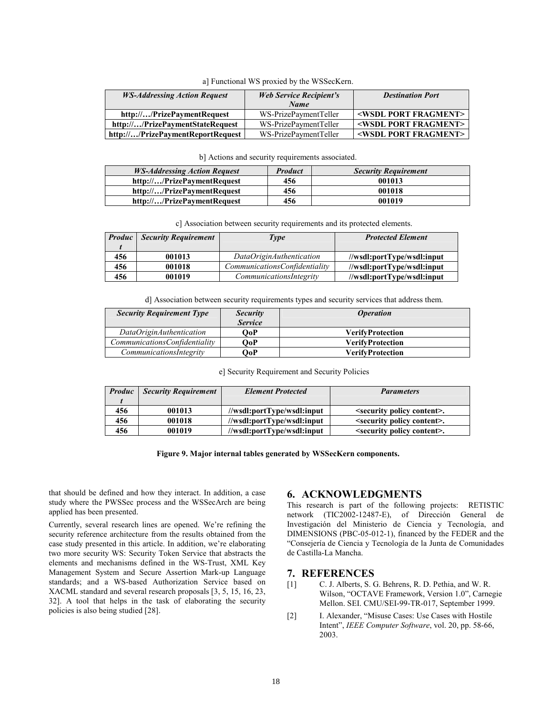| a] Functional WS proxied by the WSSecKern. |  |  |  |  |
|--------------------------------------------|--|--|--|--|
|--------------------------------------------|--|--|--|--|

| <b>WS-Addressing Action Request</b> | <b>Web Service Recipient's</b> | <b>Destination Port</b>                  |
|-------------------------------------|--------------------------------|------------------------------------------|
|                                     | <b>Name</b>                    |                                          |
| http:///PrizePaymentRequest         | WS-PrizePaymentTeller          | <b><wsdl fragment="" port=""></wsdl></b> |
| http:///PrizePaymentStateRequest    | WS-PrizePaymentTeller          | <wsdl fragment="" port=""></wsdl>        |
| http:///PrizePaymentReportRequest   | WS-PrizePaymentTeller          | <wsdl fragment="" port=""></wsdl>        |

#### b] Actions and security requirements associated.

| <b>WS-Addressing Action Request</b> | <b>Product</b> | <b>Security Requirement</b> |
|-------------------------------------|----------------|-----------------------------|
| http:///PrizePaymentRequest         | 456            | 001013                      |
| http:///PrizePaymentRequest         | 456            | 001018                      |
| http:///PrizePaymentRequest         | 456            | 001019                      |

c] Association between security requirements and its protected elements.

| Produc <sup>1</sup> | <b>Security Requirement</b> | Type                                 | <b>Protected Element</b>   |
|---------------------|-----------------------------|--------------------------------------|----------------------------|
|                     |                             |                                      |                            |
| 456                 | 001013                      | DataOriginAuthentication             | //wsdl:portType/wsdl:input |
| 456                 | 001018                      | <i>CommunicationsConfidentiality</i> | //wsdl:portType/wsdl:input |
| 456                 | 001019                      | CommunicationsIntegrity              | //wsdl:portType/wsdl:input |

d] Association between security requirements types and security services that address them.

| <b>Security Requirement Type</b>      | <b>Security</b> | <i><b>Operation</b></i> |
|---------------------------------------|-----------------|-------------------------|
|                                       | <b>Service</b>  |                         |
| DataOriginAuthentication              | OoP             | <b>VerifyProtection</b> |
| <i>Communications Confidentiality</i> | ОoР             | <b>VerifyProtection</b> |
| CommunicationsIntegrity               | ОoР             | <b>VerifyProtection</b> |

e] Security Requirement and Security Policies

| Produc | Security Requirement | <b>Element Protected</b>   | <b>Parameters</b>                           |
|--------|----------------------|----------------------------|---------------------------------------------|
|        |                      |                            |                                             |
| 456    | 001013               | //wsdl:portType/wsdl:input | <security content="" policy="">.</security> |
| 456    | 001018               | //wsdl:portType/wsdl:input | <security content="" policy="">.</security> |
| 456    | 001019               | //wsdl:portType/wsdl:input | <security content="" policy="">.</security> |

**Figure 9. Major internal tables generated by WSSecKern components.**

that should be defined and how they interact. In addition, a case study where the PWSSec process and the WSSecArch are being applied has been presented.

Currently, several research lines are opened. We're refining the security reference architecture from the results obtained from the case study presented in this article. In addition, we're elaborating two more security WS: Security Token Service that abstracts the elements and mechanisms defined in the WS-Trust, XML Key Management System and Secure Assertion Mark-up Language standards; and a WS-based Authorization Service based on XACML standard and several research proposals [3, 5, 15, 16, 23, 32]. A tool that helps in the task of elaborating the security policies is also being studied [28].

#### **6. ACKNOWLEDGMENTS**

This research is part of the following projects: RETISTIC network (TIC2002-12487-E), of Dirección General de Investigación del Ministerio de Ciencia y Tecnología, and DIMENSIONS (PBC-05-012-1), financed by the FEDER and the "Consejería de Ciencia y Tecnología de la Junta de Comunidades de Castilla-La Mancha.

#### **7. REFERENCES**

- [1] C. J. Alberts, S. G. Behrens, R. D. Pethia, and W. R. Wilson, "OCTAVE Framework, Version 1.0", Carnegie Mellon. SEI. CMU/SEI-99-TR-017, September 1999.
- [2] I. Alexander, "Misuse Cases: Use Cases with Hostile Intent", *IEEE Computer Software*, vol. 20, pp. 58-66, 2003.